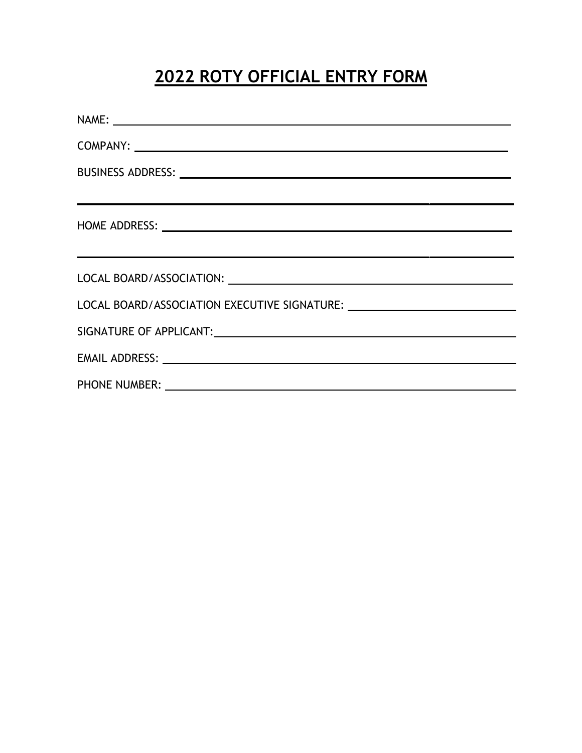# **2022 ROTY OFFICIAL ENTRY FORM**

| NAME: NAME CONTRACT CONTRACT CONTRACT CONTRACT CONTRACT CONTRACT CONTRACT CONTRACT CONTRACT CONTRACT CONTRACT CONTRACT CONTRACT CONTRACT CONTRACT CONTRACT CONTRACT CONTRACT CONTRACT CONTRACT CONTRACT CONTRACT CONTRACT CONT |
|--------------------------------------------------------------------------------------------------------------------------------------------------------------------------------------------------------------------------------|
|                                                                                                                                                                                                                                |
|                                                                                                                                                                                                                                |
| ,我们也不会有什么。""我们的人,我们也不会有什么?""我们的人,我们也不会有什么?""我们的人,我们也不会有什么?""我们的人,我们也不会有什么?""我们的人                                                                                                                                               |
|                                                                                                                                                                                                                                |
| <u> 1989 - Jan Samuel Barbara, margaret e seu a component de la componentación de la componentación de la componen</u>                                                                                                         |
|                                                                                                                                                                                                                                |
| LOCAL BOARD/ASSOCIATION EXECUTIVE SIGNATURE: ___________________________________                                                                                                                                               |
|                                                                                                                                                                                                                                |
|                                                                                                                                                                                                                                |
|                                                                                                                                                                                                                                |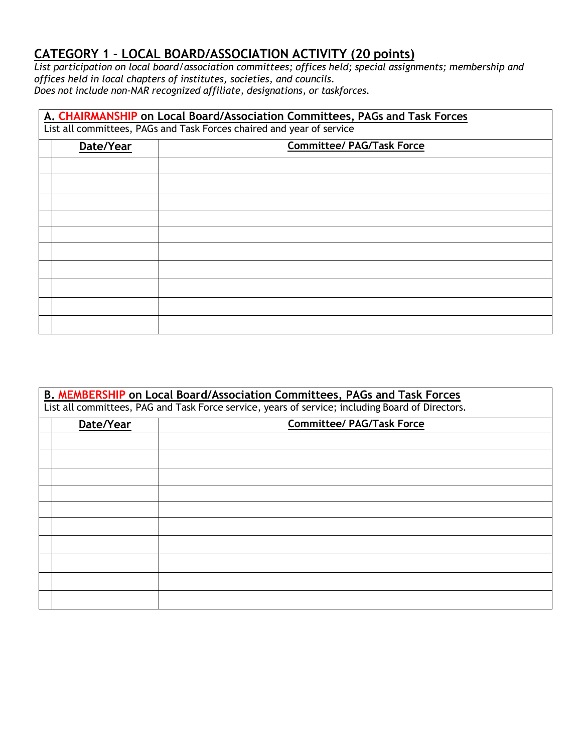## **CATEGORY 1 - LOCAL BOARD/ASSOCIATION ACTIVITY (20 points)**

*List participation on local board/association committees; offices held; special assignments; membership and offices held in local chapters of institutes, societies, and councils. Does not include non-NAR recognized affiliate, designations, or taskforces.*

| A. CHAIRMANSHIP on Local Board/Association Committees, PAGs and Task Forces<br>List all committees, PAGs and Task Forces chaired and year of service |           |                                  |
|------------------------------------------------------------------------------------------------------------------------------------------------------|-----------|----------------------------------|
|                                                                                                                                                      | Date/Year | <b>Committee/ PAG/Task Force</b> |
|                                                                                                                                                      |           |                                  |
|                                                                                                                                                      |           |                                  |
|                                                                                                                                                      |           |                                  |
|                                                                                                                                                      |           |                                  |
|                                                                                                                                                      |           |                                  |
|                                                                                                                                                      |           |                                  |
|                                                                                                                                                      |           |                                  |
|                                                                                                                                                      |           |                                  |
|                                                                                                                                                      |           |                                  |
|                                                                                                                                                      |           |                                  |

| B. MEMBERSHIP on Local Board/Association Committees, PAGs and Task Forces<br>List all committees, PAG and Task Force service, years of service; including Board of Directors. |           |                                  |
|-------------------------------------------------------------------------------------------------------------------------------------------------------------------------------|-----------|----------------------------------|
|                                                                                                                                                                               | Date/Year | <b>Committee/ PAG/Task Force</b> |
|                                                                                                                                                                               |           |                                  |
|                                                                                                                                                                               |           |                                  |
|                                                                                                                                                                               |           |                                  |
|                                                                                                                                                                               |           |                                  |
|                                                                                                                                                                               |           |                                  |
|                                                                                                                                                                               |           |                                  |
|                                                                                                                                                                               |           |                                  |
|                                                                                                                                                                               |           |                                  |
|                                                                                                                                                                               |           |                                  |
|                                                                                                                                                                               |           |                                  |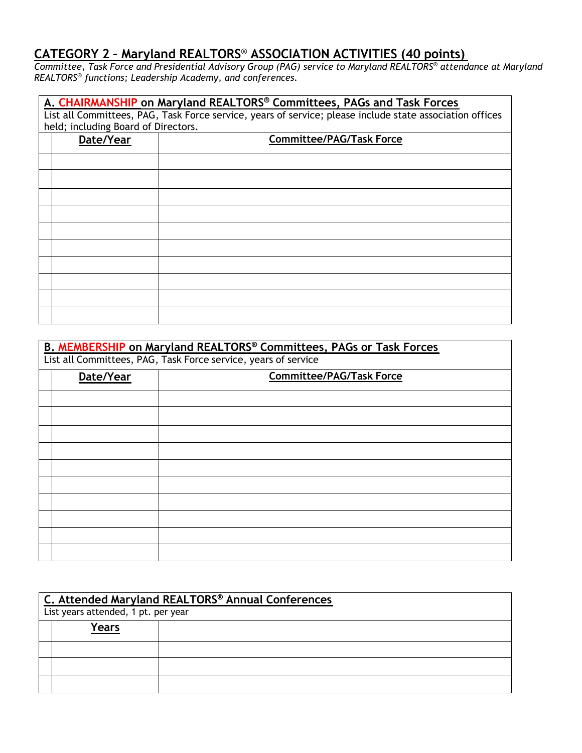#### **CATEGORY 2 – Maryland REALTORS***®* **ASSOCIATION ACTIVITIES (40 points)**

*Committee, Task Force and Presidential Advisory Group (PAG) service to Maryland REALTORS® attendance at Maryland REALTORS® functions; Leadership Academy, and conferences.*

| A. CHAIRMANSHIP on Maryland REALTORS® Committees, PAGs and Task Forces                                                                          |                                 |  |  |
|-------------------------------------------------------------------------------------------------------------------------------------------------|---------------------------------|--|--|
| List all Committees, PAG, Task Force service, years of service; please include state association offices<br>held; including Board of Directors. |                                 |  |  |
| Date/Year                                                                                                                                       | <b>Committee/PAG/Task Force</b> |  |  |
|                                                                                                                                                 |                                 |  |  |
|                                                                                                                                                 |                                 |  |  |
|                                                                                                                                                 |                                 |  |  |
|                                                                                                                                                 |                                 |  |  |
|                                                                                                                                                 |                                 |  |  |
|                                                                                                                                                 |                                 |  |  |
|                                                                                                                                                 |                                 |  |  |
|                                                                                                                                                 |                                 |  |  |
|                                                                                                                                                 |                                 |  |  |
|                                                                                                                                                 |                                 |  |  |

| B. MEMBERSHIP on Maryland REALTORS® Committees, PAGs or Task Forces<br>List all Committees, PAG, Task Force service, years of service |           |                                 |
|---------------------------------------------------------------------------------------------------------------------------------------|-----------|---------------------------------|
|                                                                                                                                       | Date/Year | <b>Committee/PAG/Task Force</b> |
|                                                                                                                                       |           |                                 |
|                                                                                                                                       |           |                                 |
|                                                                                                                                       |           |                                 |
|                                                                                                                                       |           |                                 |
|                                                                                                                                       |           |                                 |
|                                                                                                                                       |           |                                 |
|                                                                                                                                       |           |                                 |
|                                                                                                                                       |           |                                 |
|                                                                                                                                       |           |                                 |
|                                                                                                                                       |           |                                 |

| C. Attended Maryland REALTORS® Annual Conferences |                                     |  |  |
|---------------------------------------------------|-------------------------------------|--|--|
|                                                   | List years attended, 1 pt. per year |  |  |
|                                                   | <b>Years</b>                        |  |  |
|                                                   |                                     |  |  |
|                                                   |                                     |  |  |
|                                                   |                                     |  |  |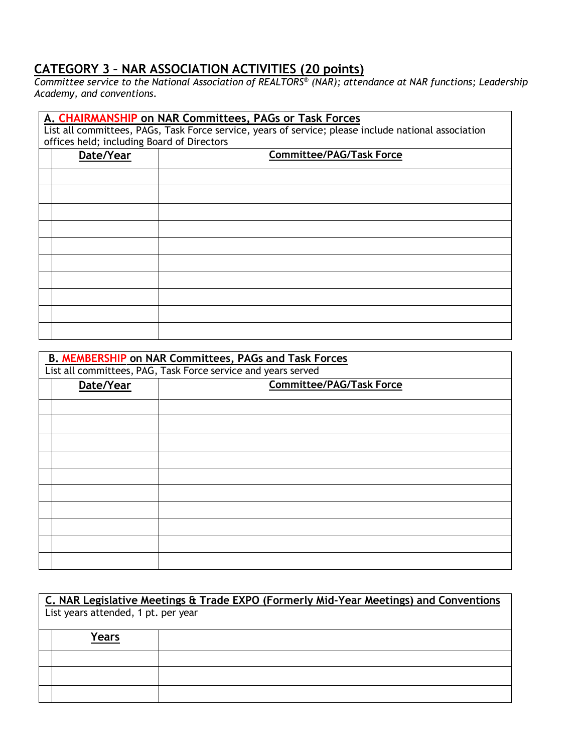#### **CATEGORY 3 – NAR ASSOCIATION ACTIVITIES (20 points)**

*Committee service to the National Association of REALTORS® (NAR); attendance at NAR functions; Leadership Academy, and conventions.*

| A. CHAIRMANSHIP on NAR Committees, PAGs or Task Forces<br>List all committees, PAGs, Task Force service, years of service; please include national association<br>offices held; including Board of Directors |           |                                 |
|--------------------------------------------------------------------------------------------------------------------------------------------------------------------------------------------------------------|-----------|---------------------------------|
|                                                                                                                                                                                                              | Date/Year | <b>Committee/PAG/Task Force</b> |
|                                                                                                                                                                                                              |           |                                 |
|                                                                                                                                                                                                              |           |                                 |
|                                                                                                                                                                                                              |           |                                 |
|                                                                                                                                                                                                              |           |                                 |
|                                                                                                                                                                                                              |           |                                 |
|                                                                                                                                                                                                              |           |                                 |
|                                                                                                                                                                                                              |           |                                 |
|                                                                                                                                                                                                              |           |                                 |
|                                                                                                                                                                                                              |           |                                 |
|                                                                                                                                                                                                              |           |                                 |

| <b>B. MEMBERSHIP on NAR Committees, PAGs and Task Forces</b>  |                                 |  |
|---------------------------------------------------------------|---------------------------------|--|
| List all committees, PAG, Task Force service and years served |                                 |  |
| Date/Year                                                     | <b>Committee/PAG/Task Force</b> |  |
|                                                               |                                 |  |
|                                                               |                                 |  |
|                                                               |                                 |  |
|                                                               |                                 |  |
|                                                               |                                 |  |
|                                                               |                                 |  |
|                                                               |                                 |  |
|                                                               |                                 |  |
|                                                               |                                 |  |
|                                                               |                                 |  |
|                                                               |                                 |  |

| C. NAR Legislative Meetings & Trade EXPO (Formerly Mid-Year Meetings) and Conventions |       |  |
|---------------------------------------------------------------------------------------|-------|--|
| List years attended, 1 pt. per year                                                   |       |  |
|                                                                                       |       |  |
|                                                                                       | Years |  |
|                                                                                       |       |  |
|                                                                                       |       |  |
|                                                                                       |       |  |
|                                                                                       |       |  |
|                                                                                       |       |  |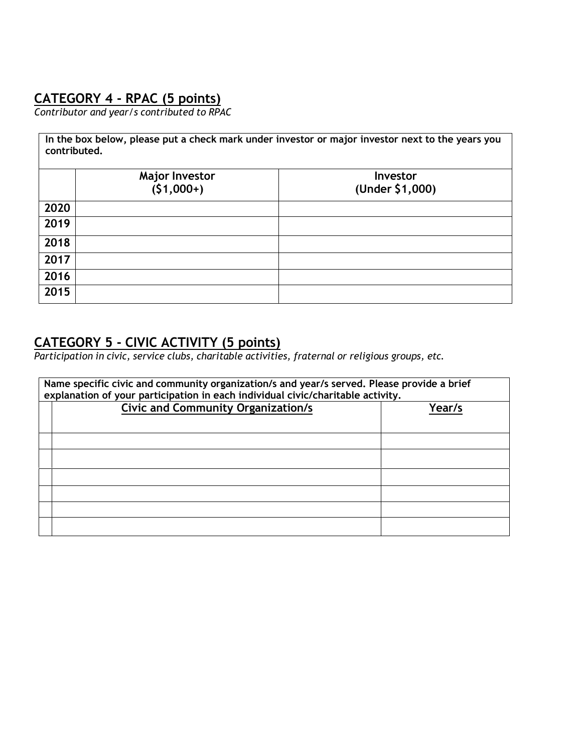# **CATEGORY 4 - RPAC (5 points)**

*Contributor and year/s contributed to RPAC*

| In the box below, please put a check mark under investor or major investor next to the years you<br>contributed. |             |                 |
|------------------------------------------------------------------------------------------------------------------|-------------|-----------------|
| <b>Major Investor</b><br>Investor                                                                                |             |                 |
|                                                                                                                  | $(51,000+)$ | (Under \$1,000) |
| 2020                                                                                                             |             |                 |
| 2019                                                                                                             |             |                 |
| 2018                                                                                                             |             |                 |
| 2017                                                                                                             |             |                 |
| 2016                                                                                                             |             |                 |
| 2015                                                                                                             |             |                 |

# **CATEGORY 5 - CIVIC ACTIVITY (5 points)**

*Participation in civic, service clubs, charitable activities, fraternal or religious groups, etc.*

| Name specific civic and community organization/s and year/s served. Please provide a brief<br>explanation of your participation in each individual civic/charitable activity. |                                           |        |
|-------------------------------------------------------------------------------------------------------------------------------------------------------------------------------|-------------------------------------------|--------|
|                                                                                                                                                                               | <b>Civic and Community Organization/s</b> | Year/s |
|                                                                                                                                                                               |                                           |        |
|                                                                                                                                                                               |                                           |        |
|                                                                                                                                                                               |                                           |        |
|                                                                                                                                                                               |                                           |        |
|                                                                                                                                                                               |                                           |        |
|                                                                                                                                                                               |                                           |        |
|                                                                                                                                                                               |                                           |        |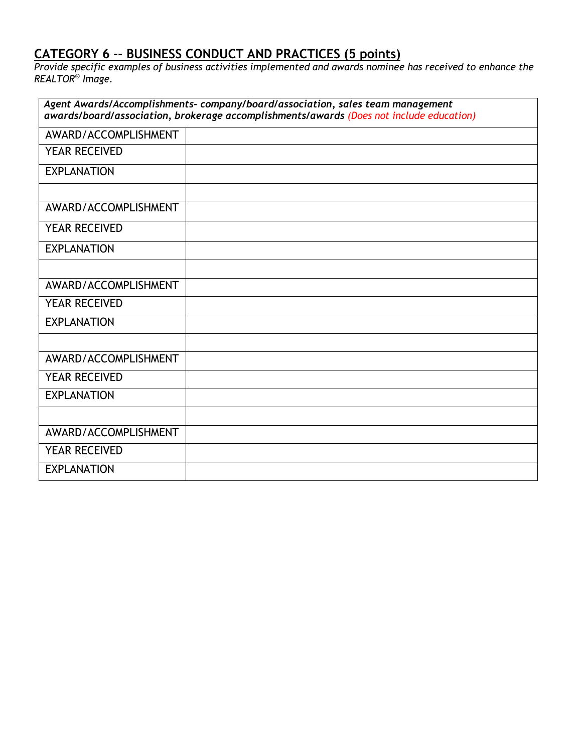### **CATEGORY 6 -- BUSINESS CONDUCT AND PRACTICES (5 points)**

*Provide specific examples of business activities implemented and awards nominee has received to enhance the REALTOR® Image.*

| Agent Awards/Accomplishments-company/board/association, sales team management<br>awards/board/association, brokerage accomplishments/awards (Does not include education) |  |  |
|--------------------------------------------------------------------------------------------------------------------------------------------------------------------------|--|--|
| AWARD/ACCOMPLISHMENT                                                                                                                                                     |  |  |
| <b>YEAR RECEIVED</b>                                                                                                                                                     |  |  |
| <b>EXPLANATION</b>                                                                                                                                                       |  |  |
|                                                                                                                                                                          |  |  |
| AWARD/ACCOMPLISHMENT                                                                                                                                                     |  |  |
| <b>YEAR RECEIVED</b>                                                                                                                                                     |  |  |
| <b>EXPLANATION</b>                                                                                                                                                       |  |  |
|                                                                                                                                                                          |  |  |
| AWARD/ACCOMPLISHMENT                                                                                                                                                     |  |  |
| YEAR RECEIVED                                                                                                                                                            |  |  |
| <b>EXPLANATION</b>                                                                                                                                                       |  |  |
|                                                                                                                                                                          |  |  |
| AWARD/ACCOMPLISHMENT                                                                                                                                                     |  |  |
| <b>YEAR RECEIVED</b>                                                                                                                                                     |  |  |
| <b>EXPLANATION</b>                                                                                                                                                       |  |  |
|                                                                                                                                                                          |  |  |
| AWARD/ACCOMPLISHMENT                                                                                                                                                     |  |  |
| <b>YEAR RECEIVED</b>                                                                                                                                                     |  |  |
| <b>EXPLANATION</b>                                                                                                                                                       |  |  |